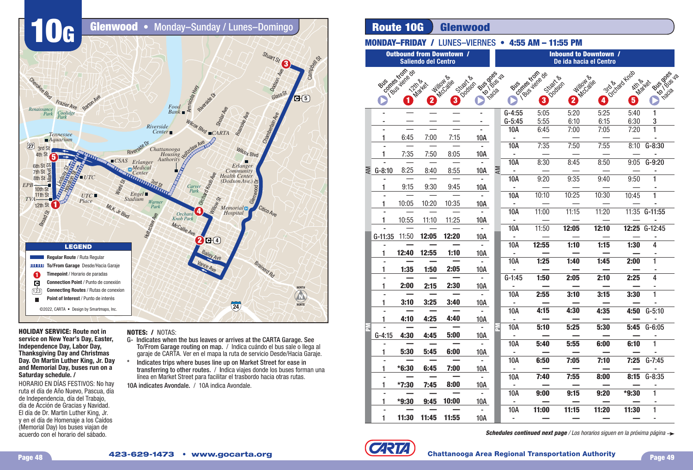

## **HOLIDAY SERVICE: Route not in service on New Year's Day, Easter, Independence Day, Labor Day, Thanksgiving Day and Christmas Day. On Martin Luther King, Jr. Day and Memorial Day, buses run on a Saturday schedule. /**

HORARIO EN DÍAS FESTIVOS: No hay ruta el día de Año Nuevo, Pascua, día de Independencia, día del Trabajo, día de Acción de Gracias y Navidad. El día de Dr. Martin Luther King, Jr. y en el día de Homenaje a los Caídos (Memorial Day) los buses viajan de acuerdo con el horario del sábado.

## **NOTES: /** NOTAS:

- G- Indicates when the bus leaves or arrives at the CARTA Garage. See To/From Garage routing on map. / Indica cuándo el bus sale o llega al garaje de CARTA. Ver en el mapa la ruta de servicio Desde/Hacia Garaje.
- Indicates trips where buses line up on Market Street for ease in transferring to other routes. / Indica viajes donde los buses forman una línea en Market Street para facilitar el trasbordo hacia otras rutas.

10A indicates Avondale. / 10A indica Avondale.

# **Route 10G Glenwood**

# **MONDAY–FRIDAY / LUNES–VIERNES • 4:55 AM - 11:55 PM**

| <b>Outbound from Downtown /</b><br><b>Saliendo del Centro</b> |              |                   |                |                  |                 |               | <b>Inbound to Downtown /</b><br>De ida hacia el Centro |                                |                                |                         |                   |                                   |  |  |
|---------------------------------------------------------------|--------------|-------------------|----------------|------------------|-----------------|---------------|--------------------------------------------------------|--------------------------------|--------------------------------|-------------------------|-------------------|-----------------------------------|--|--|
|                                                               |              |                   |                |                  |                 |               |                                                        |                                |                                |                         |                   |                                   |  |  |
|                                                               |              | comptes violes de |                |                  | I BUS DOS       |               |                                                        |                                |                                |                         | octobre dupo      | Rus docs is                       |  |  |
|                                                               | BUS          | <b>Zzina</b>      |                |                  |                 |               | BUS                                                    |                                |                                |                         | <b>AKIT &amp;</b> |                                   |  |  |
|                                                               |              |                   | Market         | <b>Millowske</b> | <b>Studiesh</b> | <b>Hiacia</b> |                                                        |                                | Willows<br><b>Czuzit &amp;</b> | McCalife                |                   | <b>Market</b><br><b>Ly 1 June</b> |  |  |
|                                                               |              | 1                 | $\overline{2}$ | $\mathbf{3}$     |                 |               |                                                        | comes viole de<br>$\mathbf{3}$ | $\overline{\mathbf{2}}$        | $\overline{\mathbf{4}}$ | 6                 |                                   |  |  |
|                                                               |              |                   |                |                  |                 |               | $G-4:55$                                               | 5:05                           | 5:20                           | 5:25                    | 5:40              | 1                                 |  |  |
|                                                               |              |                   |                |                  |                 |               | $G-5:45$                                               | 5:55                           | 6:10                           | 6:15                    | 6:30              | 3                                 |  |  |
|                                                               |              |                   |                |                  |                 |               | 10A                                                    | 6:45                           | 7:00                           | 7:05                    | 7:20              | $\overline{1}$                    |  |  |
|                                                               | 1            | 6:45              | 7:00           | 7:15             | 10A             |               | ۰                                                      |                                |                                |                         |                   |                                   |  |  |
|                                                               |              |                   |                |                  | ÷.              |               | 10A                                                    | 7:35                           | 7:50                           | 7:55                    | 8:10              | $G-8:30$                          |  |  |
|                                                               |              | 7:35              | 7:50           | 8:05             | <b>10A</b>      |               | ä,                                                     |                                |                                |                         |                   |                                   |  |  |
|                                                               |              |                   |                |                  | $\blacksquare$  |               | 10A                                                    | 8:30                           | 8:45                           | 8:50                    | 9:05              | $G-9:20$                          |  |  |
| ΜA                                                            | $G-8:10$     | 8:25              | 8:40           | 8:55             | 10A             | Μ             | ÷,                                                     |                                |                                |                         |                   |                                   |  |  |
|                                                               |              |                   |                |                  | $\mathbf{r}$    |               | 10A                                                    | 9:20                           | 9:35                           | 9:40                    | 9:50              | 1                                 |  |  |
|                                                               | 1            | 9:15              | 9:30           | 9:45             | <b>10A</b>      |               | ۰                                                      | 10:10                          | 10:25                          | 10:30                   | 10:45             |                                   |  |  |
|                                                               | 1            | 10:05             | 10:20          | 10:35            | <b>10A</b>      |               | 10A<br>٠                                               |                                |                                |                         |                   |                                   |  |  |
|                                                               |              |                   |                |                  | $\overline{a}$  |               | 10A                                                    | 11:00                          | 11:15                          | 11:20                   |                   | 11:35 G-11:55                     |  |  |
|                                                               |              | 10:55             | 11:10          | 11:25            | <b>10A</b>      |               | $\blacksquare$                                         |                                |                                |                         |                   |                                   |  |  |
|                                                               |              |                   |                |                  |                 |               | 10A                                                    | 11:50                          | 12:05                          | 12:10                   |                   | 12:25 G-12:45                     |  |  |
|                                                               | G-11:35      | 11:50             | 12:05          | 12:20            | 10A             |               | ÷,                                                     |                                |                                |                         |                   |                                   |  |  |
|                                                               |              |                   |                |                  | $\overline{a}$  |               | 10A                                                    | 12:55                          | 1:10                           | 1:15                    | 1:30              | 4                                 |  |  |
|                                                               | 1            | 12:40             | 12:55          | 1:10             | 10A             |               | ÷,                                                     |                                |                                |                         |                   |                                   |  |  |
|                                                               |              |                   |                |                  |                 |               | 10A                                                    | 1:25                           | 1:40                           | 1:45                    | 2:00              | 1                                 |  |  |
|                                                               | 1            | 1:35              | 1:50           | 2:05             | <b>10A</b>      |               |                                                        |                                |                                |                         |                   |                                   |  |  |
|                                                               |              |                   |                |                  |                 |               | $G-1:45$                                               | 1:50                           | 2:05                           | 2:10                    | 2:25              | 4                                 |  |  |
|                                                               | 1            | 2:00              | 2:15           | 2:30             | <b>10A</b>      |               |                                                        |                                |                                |                         |                   |                                   |  |  |
|                                                               |              |                   |                |                  | $\sim$          |               | 10A                                                    | 2:55                           | 3:10                           | 3:15                    | 3:30              | 1                                 |  |  |
|                                                               | 1            | 3:10              | 3:25           | 3:40             | 10A             |               | ÷,                                                     |                                |                                |                         |                   |                                   |  |  |
|                                                               |              |                   |                |                  |                 |               | 10A                                                    | 4:15                           | 4:30                           | 4:35                    | 4:50              | $G-5:10$                          |  |  |
|                                                               | 1            | 4:10              | 4:25           | 4:40             | <b>10A</b>      |               | ٠                                                      |                                |                                |                         |                   |                                   |  |  |
|                                                               |              |                   |                |                  | $\sim$          |               | 10A                                                    | 5:10                           | 5:25                           | 5:30                    | 5:45              | $G - 6:05$                        |  |  |
|                                                               | $G-4:15$     | 4:30              | 4:45           | 5:00             | 10A             |               | $\blacksquare$                                         |                                |                                |                         |                   | 1                                 |  |  |
|                                                               | 1            | 5:30              | 5:45           | 6:00             |                 |               | 10A                                                    | 5:40                           | 5:55                           | 6:00                    | 6:10              |                                   |  |  |
|                                                               |              |                   |                |                  | <u>10A</u>      |               | 10A                                                    | 6:50                           | 7:05                           | 7:10                    |                   | $7:25$ G-7:45                     |  |  |
|                                                               | 1.           | $*6:30$           | 6:45           | 7:00             | 10A             |               | $\sim$                                                 |                                |                                |                         |                   |                                   |  |  |
|                                                               | ۰            |                   |                |                  |                 |               | 10A                                                    | 7:40                           | 7:55                           | 8:00                    |                   | 8:15 G-8:35                       |  |  |
|                                                               | 1.           | $*7:30$           | 7:45           | 8:00             | 10A             |               | $\sim$                                                 |                                |                                |                         |                   |                                   |  |  |
|                                                               | ۰            |                   |                |                  |                 |               | 10A                                                    | 9:00                           | 9:15                           | 9:20                    | *9:30             | $\mathbf{1}$                      |  |  |
|                                                               | 1            | $*9:30$           | 9:45           | 10:00            | 10A             |               | $\sim$                                                 |                                |                                |                         |                   |                                   |  |  |
|                                                               |              |                   |                |                  |                 |               | 10A                                                    | 11:00                          | 11:15                          | 11:20                   | 11:30             | $\mathbf{1}$                      |  |  |
|                                                               | $\mathbf{1}$ | 11:30             | 11:45          | 11:55            | <b>10A</b>      |               | $\sim$                                                 |                                |                                |                         |                   |                                   |  |  |



**Schedules continued next page** / Los horarios siguen en la próxima página  $\rightarrow$